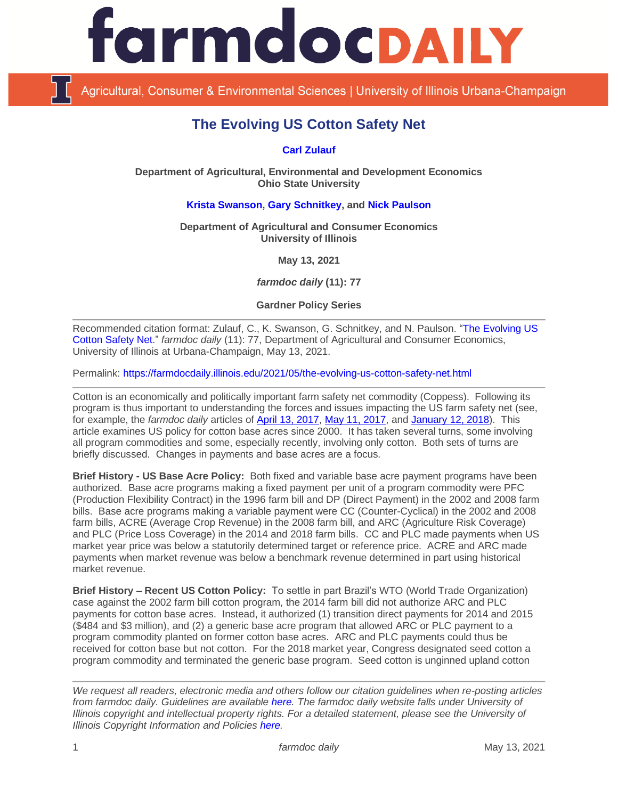

Agricultural, Consumer & Environmental Sciences | University of Illinois Urbana-Champaign

# **The Evolving US Cotton Safety Net**

## **[Carl Zulauf](http://aede.osu.edu/our-people/carl-zulauf)**

**Department of Agricultural, Environmental and Development Economics Ohio State University**

## **[Krista Swanson,](https://ace.illinois.edu/directory/krista) [Gary Schnitkey,](https://ace.illinois.edu/directory/schnitke) and [Nick Paulson](https://ace.illinois.edu/directory/npaulson)**

**Department of Agricultural and Consumer Economics University of Illinois**

**May 13, 2021**

*farmdoc daily* **(11): 77**

**Gardner Policy Series**

Recommended citation format: Zulauf, C., K. Swanson, G. Schnitkey, and N. Paulson. ["The Evolving US](https://farmdocdaily.illinois.edu/2021/05/the-evolving-us-cotton-safety-net.html)  [Cotton Safety Net.](https://farmdocdaily.illinois.edu/2021/05/the-evolving-us-cotton-safety-net.html)" *farmdoc daily* (11): 77, Department of Agricultural and Consumer Economics, University of Illinois at Urbana-Champaign, May 13, 2021.

Permalink:<https://farmdocdaily.illinois.edu/2021/05/the-evolving-us-cotton-safety-net.html>

Cotton is an economically and politically important farm safety net commodity (Coppess). Following its program is thus important to understanding the forces and issues impacting the US farm safety net (see, for example, the *farmdoc daily* articles of [April 13, 2017,](https://farmdocdaily.illinois.edu/2017/04/beneath-the-label-a-look-at-generic-base-acres.html) [May 11, 2017,](https://farmdocdaily.illinois.edu/2017/05/farm-safety-net-support-for-cotton-in-perspective.html) and [January 12, 2018\)](https://farmdocdaily.illinois.edu/2018/01/commodity-program-spending-on-dairy-and-cotton.html). This article examines US policy for cotton base acres since 2000. It has taken several turns, some involving all program commodities and some, especially recently, involving only cotton. Both sets of turns are briefly discussed. Changes in payments and base acres are a focus.

**Brief History - US Base Acre Policy:** Both fixed and variable base acre payment programs have been authorized. Base acre programs making a fixed payment per unit of a program commodity were PFC (Production Flexibility Contract) in the 1996 farm bill and DP (Direct Payment) in the 2002 and 2008 farm bills. Base acre programs making a variable payment were CC (Counter-Cyclical) in the 2002 and 2008 farm bills, ACRE (Average Crop Revenue) in the 2008 farm bill, and ARC (Agriculture Risk Coverage) and PLC (Price Loss Coverage) in the 2014 and 2018 farm bills. CC and PLC made payments when US market year price was below a statutorily determined target or reference price. ACRE and ARC made payments when market revenue was below a benchmark revenue determined in part using historical market revenue.

**Brief History – Recent US Cotton Policy:** To settle in part Brazil's WTO (World Trade Organization) case against the 2002 farm bill cotton program, the 2014 farm bill did not authorize ARC and PLC payments for cotton base acres. Instead, it authorized (1) transition direct payments for 2014 and 2015 (\$484 and \$3 million), and (2) a generic base acre program that allowed ARC or PLC payment to a program commodity planted on former cotton base acres. ARC and PLC payments could thus be received for cotton base but not cotton. For the 2018 market year, Congress designated seed cotton a program commodity and terminated the generic base program. Seed cotton is unginned upland cotton

*We request all readers, electronic media and others follow our citation guidelines when re-posting articles from farmdoc daily. Guidelines are available [here.](http://farmdocdaily.illinois.edu/citationguide.html) The farmdoc daily website falls under University of Illinois copyright and intellectual property rights. For a detailed statement, please see the University of Illinois Copyright Information and Policies [here.](http://www.cio.illinois.edu/policies/copyright/)*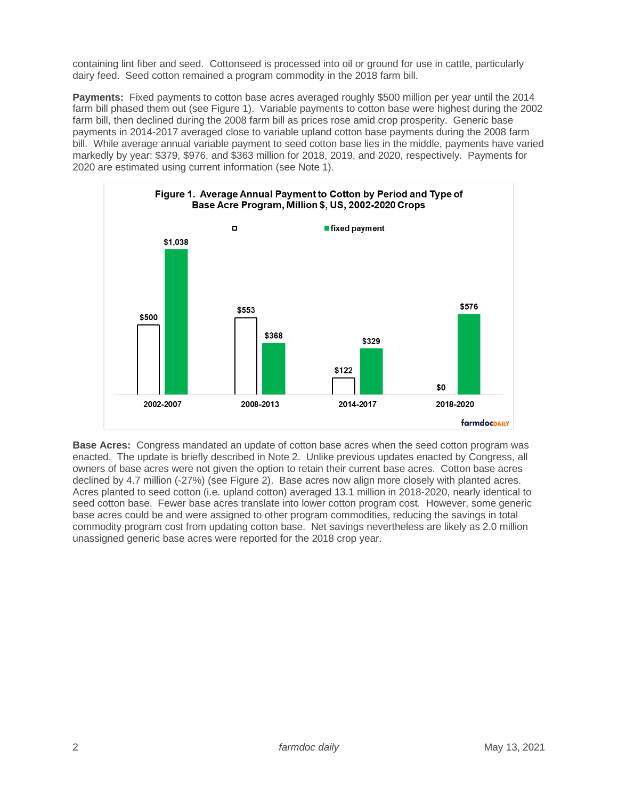containing lint fiber and seed. Cottonseed is processed into oil or ground for use in cattle, particularly dairy feed. Seed cotton remained a program commodity in the 2018 farm bill.

**Payments:** Fixed payments to cotton base acres averaged roughly \$500 million per year until the 2014 farm bill phased them out (see Figure 1). Variable payments to cotton base were highest during the 2002 farm bill, then declined during the 2008 farm bill as prices rose amid crop prosperity. Generic base payments in 2014-2017 averaged close to variable upland cotton base payments during the 2008 farm bill. While average annual variable payment to seed cotton base lies in the middle, payments have varied markedly by year: \$379, \$976, and \$363 million for 2018, 2019, and 2020, respectively. Payments for 2020 are estimated using current information (see Note 1).



**Base Acres:** Congress mandated an update of cotton base acres when the seed cotton program was enacted. The update is briefly described in Note 2. Unlike previous updates enacted by Congress, all owners of base acres were not given the option to retain their current base acres. Cotton base acres declined by 4.7 million (-27%) (see Figure 2). Base acres now align more closely with planted acres. Acres planted to seed cotton (i.e. upland cotton) averaged 13.1 million in 2018-2020, nearly identical to seed cotton base. Fewer base acres translate into lower cotton program cost. However, some generic base acres could be and were assigned to other program commodities, reducing the savings in total commodity program cost from updating cotton base. Net savings nevertheless are likely as 2.0 million unassigned generic base acres were reported for the 2018 crop year.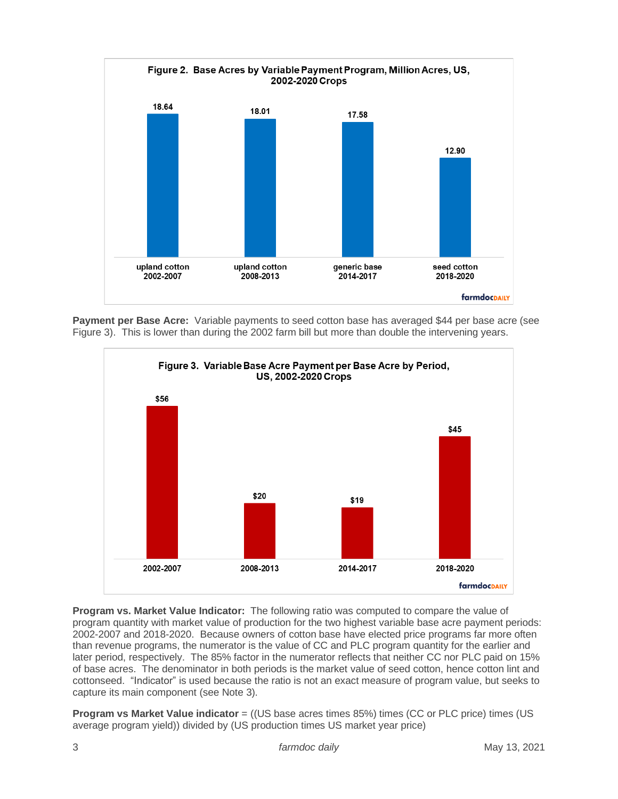

**Payment per Base Acre:** Variable payments to seed cotton base has averaged \$44 per base acre (see Figure 3). This is lower than during the 2002 farm bill but more than double the intervening years.



**Program vs. Market Value Indicator:** The following ratio was computed to compare the value of program quantity with market value of production for the two highest variable base acre payment periods: 2002-2007 and 2018-2020. Because owners of cotton base have elected price programs far more often than revenue programs, the numerator is the value of CC and PLC program quantity for the earlier and later period, respectively. The 85% factor in the numerator reflects that neither CC nor PLC paid on 15% of base acres. The denominator in both periods is the market value of seed cotton, hence cotton lint and cottonseed. "Indicator" is used because the ratio is not an exact measure of program value, but seeks to capture its main component (see Note 3).

**Program vs Market Value indicator** = ((US base acres times 85%) times (CC or PLC price) times (US average program yield)) divided by (US production times US market year price)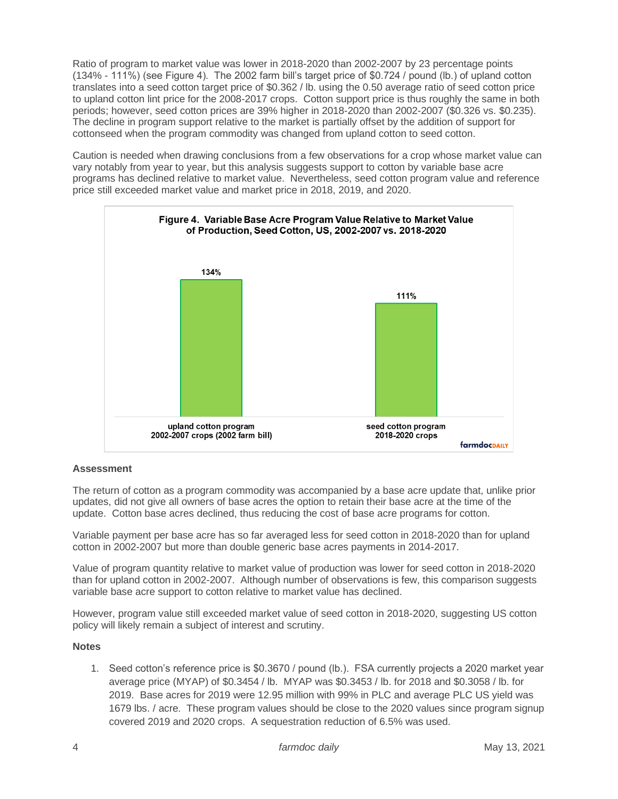Ratio of program to market value was lower in 2018-2020 than 2002-2007 by 23 percentage points (134% - 111%) (see Figure 4). The 2002 farm bill's target price of \$0.724 / pound (lb.) of upland cotton translates into a seed cotton target price of \$0.362 / lb. using the 0.50 average ratio of seed cotton price to upland cotton lint price for the 2008-2017 crops. Cotton support price is thus roughly the same in both periods; however, seed cotton prices are 39% higher in 2018-2020 than 2002-2007 (\$0.326 vs. \$0.235). The decline in program support relative to the market is partially offset by the addition of support for cottonseed when the program commodity was changed from upland cotton to seed cotton.

Caution is needed when drawing conclusions from a few observations for a crop whose market value can vary notably from year to year, but this analysis suggests support to cotton by variable base acre programs has declined relative to market value. Nevertheless, seed cotton program value and reference price still exceeded market value and market price in 2018, 2019, and 2020.



#### **Assessment**

The return of cotton as a program commodity was accompanied by a base acre update that, unlike prior updates, did not give all owners of base acres the option to retain their base acre at the time of the update. Cotton base acres declined, thus reducing the cost of base acre programs for cotton.

Variable payment per base acre has so far averaged less for seed cotton in 2018-2020 than for upland cotton in 2002-2007 but more than double generic base acres payments in 2014-2017.

Value of program quantity relative to market value of production was lower for seed cotton in 2018-2020 than for upland cotton in 2002-2007. Although number of observations is few, this comparison suggests variable base acre support to cotton relative to market value has declined.

However, program value still exceeded market value of seed cotton in 2018-2020, suggesting US cotton policy will likely remain a subject of interest and scrutiny.

#### **Notes**

1. Seed cotton's reference price is \$0.3670 / pound (lb.). FSA currently projects a 2020 market year average price (MYAP) of \$0.3454 / lb. MYAP was \$0.3453 / lb. for 2018 and \$0.3058 / lb. for 2019. Base acres for 2019 were 12.95 million with 99% in PLC and average PLC US yield was 1679 lbs. / acre. These program values should be close to the 2020 values since program signup covered 2019 and 2020 crops. A sequestration reduction of 6.5% was used.